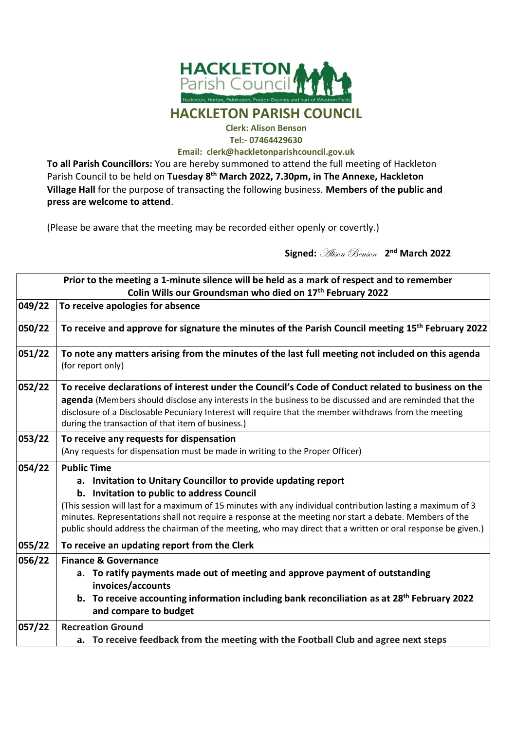

## **Clerk: Alison Benson <Tel:-> 07464429630**

**Email: [clerk@hackletonparishcouncil.gov.uk](mailto:clerk@hackletonparishcouncil.gov.uk)**

**To all Parish Councillors:** You are hereby summoned to attend the full meeting of Hackleton Parish Council to be held on **Tuesday 8 th March 2022, 7.30pm, in The Annexe, Hackleton Village Hall** for the purpose of transacting the following business. **Members of the public and press are welcome to attend**.

(Please be aware that the meeting may be recorded either openly or covertly.)

 **Signed:** Alison Benson **2 nd March 2022**

| Prior to the meeting a 1-minute silence will be held as a mark of respect and to remember<br>Colin Wills our Groundsman who died on 17 <sup>th</sup> February 2022 |                                                                                                                                                                                                                                                                                                                                                                                                                                                                              |
|--------------------------------------------------------------------------------------------------------------------------------------------------------------------|------------------------------------------------------------------------------------------------------------------------------------------------------------------------------------------------------------------------------------------------------------------------------------------------------------------------------------------------------------------------------------------------------------------------------------------------------------------------------|
| 049/22                                                                                                                                                             | To receive apologies for absence                                                                                                                                                                                                                                                                                                                                                                                                                                             |
| 050/22                                                                                                                                                             | To receive and approve for signature the minutes of the Parish Council meeting 15 <sup>th</sup> February 2022                                                                                                                                                                                                                                                                                                                                                                |
| 051/22                                                                                                                                                             | To note any matters arising from the minutes of the last full meeting not included on this agenda<br>(for report only)                                                                                                                                                                                                                                                                                                                                                       |
| 052/22                                                                                                                                                             | To receive declarations of interest under the Council's Code of Conduct related to business on the<br>agenda (Members should disclose any interests in the business to be discussed and are reminded that the<br>disclosure of a Disclosable Pecuniary Interest will require that the member withdraws from the meeting<br>during the transaction of that item of business.)                                                                                                 |
| 053/22                                                                                                                                                             | To receive any requests for dispensation<br>(Any requests for dispensation must be made in writing to the Proper Officer)                                                                                                                                                                                                                                                                                                                                                    |
| 054/22                                                                                                                                                             | <b>Public Time</b><br>a. Invitation to Unitary Councillor to provide updating report<br>b. Invitation to public to address Council<br>(This session will last for a maximum of 15 minutes with any individual contribution lasting a maximum of 3<br>minutes. Representations shall not require a response at the meeting nor start a debate. Members of the<br>public should address the chairman of the meeting, who may direct that a written or oral response be given.) |
| 055/22                                                                                                                                                             | To receive an updating report from the Clerk                                                                                                                                                                                                                                                                                                                                                                                                                                 |
| 056/22                                                                                                                                                             | <b>Finance &amp; Governance</b><br>a. To ratify payments made out of meeting and approve payment of outstanding<br>invoices/accounts<br>b. To receive accounting information including bank reconciliation as at 28 <sup>th</sup> February 2022<br>and compare to budget                                                                                                                                                                                                     |
| 057/22                                                                                                                                                             | <b>Recreation Ground</b><br>a. To receive feedback from the meeting with the Football Club and agree next steps                                                                                                                                                                                                                                                                                                                                                              |